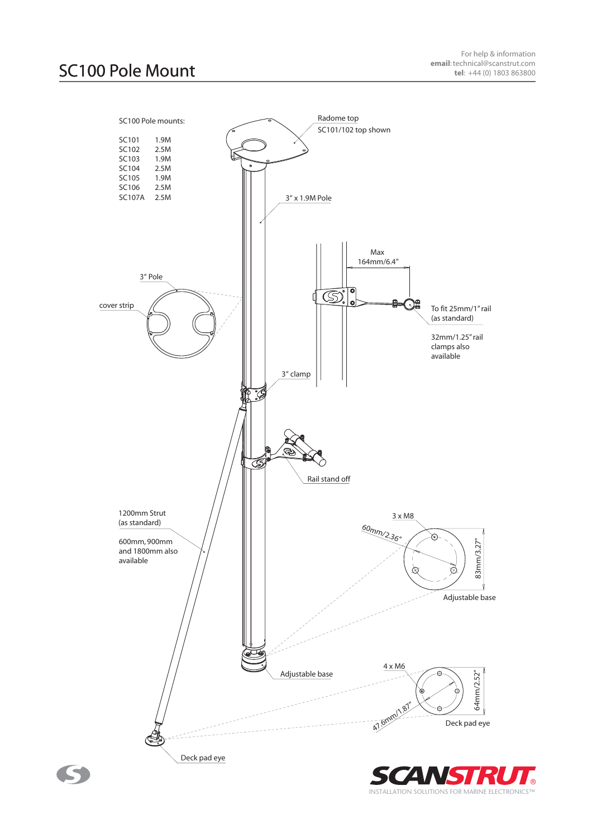®

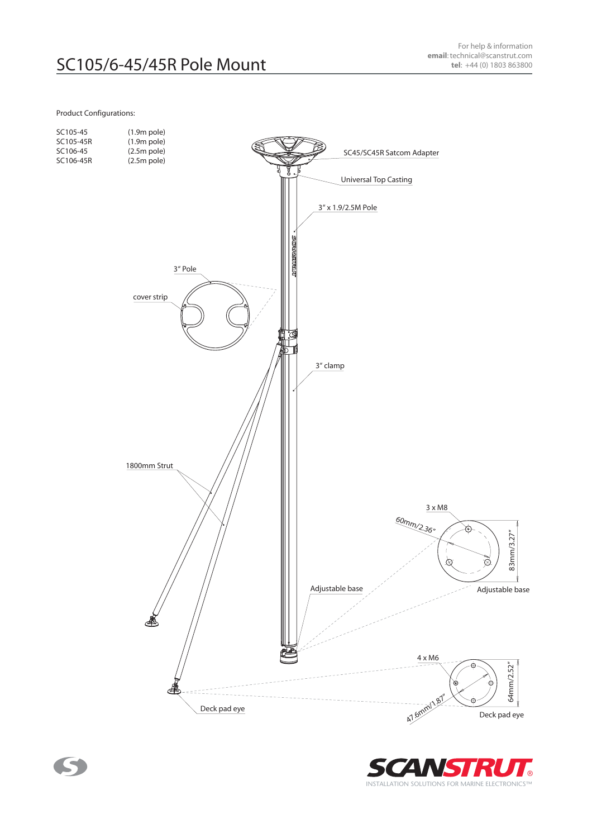## Product Configurations:

S



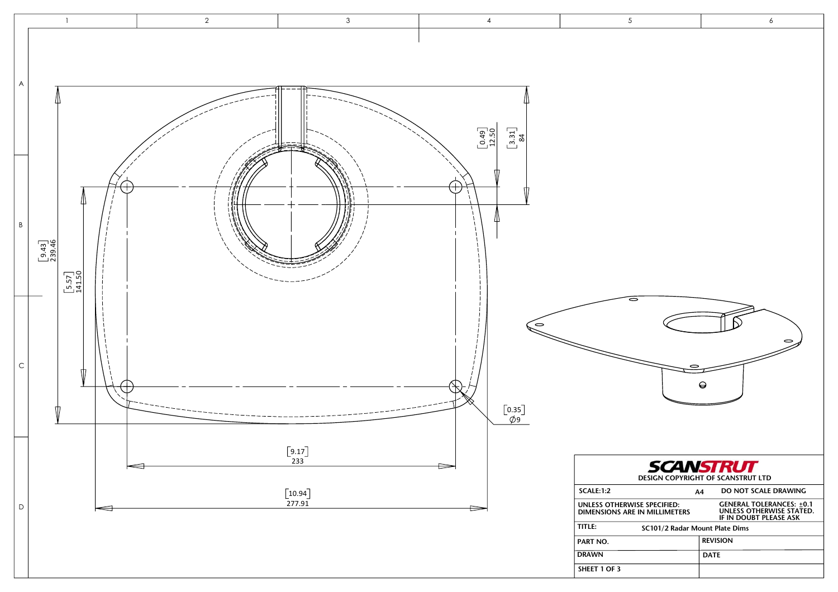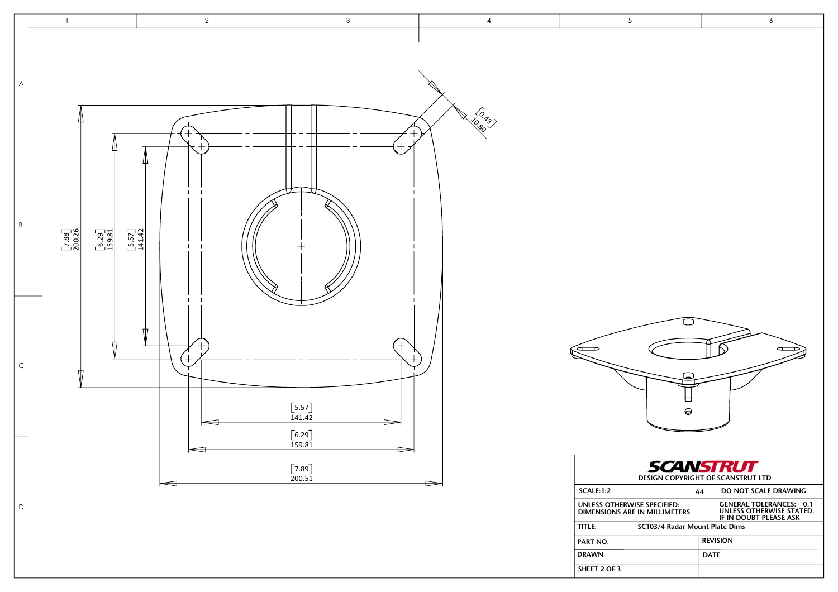